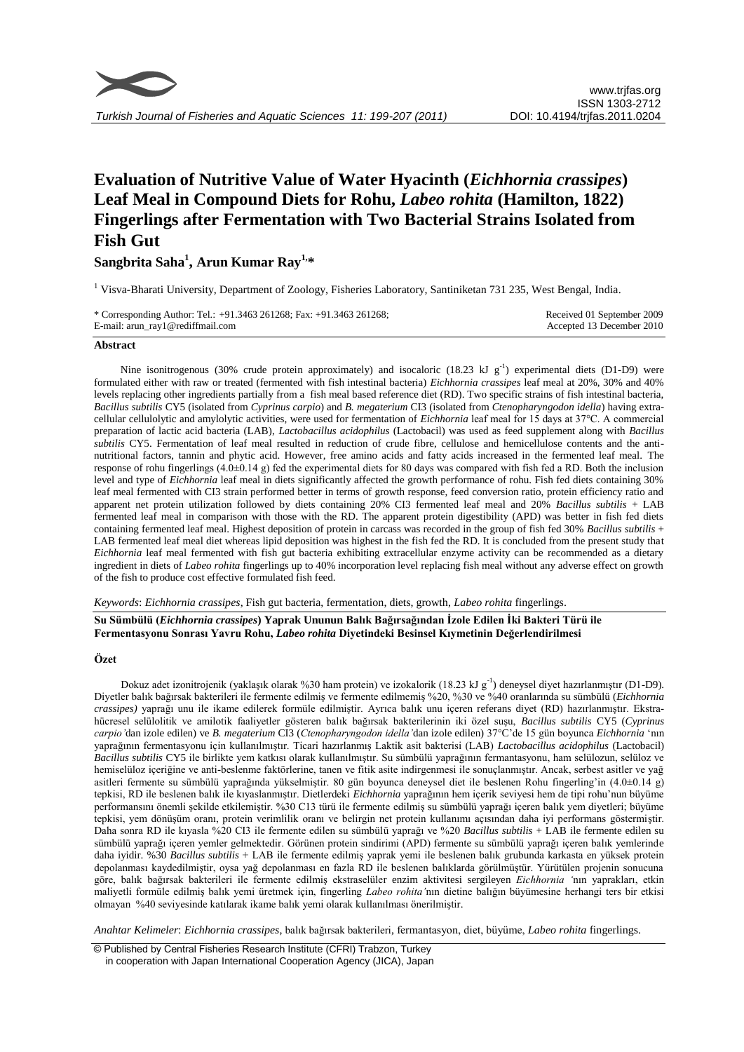

*Turkish Journal of Fisheries and Aquatic Sciences 11: 199-207 (2011)*

# **Evaluation of Nutritive Value of Water Hyacinth (***Eichhornia crassipes***) Leaf Meal in Compound Diets for Rohu,** *Labeo rohita* **(Hamilton, 1822) Fingerlings after Fermentation with Two Bacterial Strains Isolated from Fish Gut**

**Sangbrita Saha<sup>1</sup> , Arun Kumar Ray1, \***

<sup>1</sup> Visva-Bharati University, Department of Zoology, Fisheries Laboratory, Santiniketan 731 235, West Bengal, India.

| * Corresponding Author: Tel.: +91.3463 261268; Fax: +91.3463 261268; | Received 01 September 2009 |
|----------------------------------------------------------------------|----------------------------|
| E-mail: arun_ray1@rediffmail.com                                     | Accepted 13 December 2010  |

#### **Abstract**

Nine isonitrogenous (30% crude protein approximately) and isocaloric (18.23 kJ  $g^{-1}$ ) experimental diets (D1-D9) were formulated either with raw or treated (fermented with fish intestinal bacteria) *Eichhornia crassipes* leaf meal at 20%, 30% and 40% levels replacing other ingredients partially from a fish meal based reference diet (RD). Two specific strains of fish intestinal bacteria, *Bacillus subtilis* CY5 (isolated from *Cyprinus carpio*) and *B. megaterium* CI3 (isolated from *Ctenopharyngodon idella*) having extracellular cellulolytic and amylolytic activities, were used for fermentation of *Eichhornia* leaf meal for 15 days at 37°C. A commercial preparation of lactic acid bacteria (LAB), *Lactobacillus acidophilus* (Lactobacil) was used as feed supplement along with *Bacillus subtilis* CY5. Fermentation of leaf meal resulted in reduction of crude fibre, cellulose and hemicellulose contents and the antinutritional factors, tannin and phytic acid. However, free amino acids and fatty acids increased in the fermented leaf meal. The response of rohu fingerlings (4.0±0.14 g) fed the experimental diets for 80 days was compared with fish fed a RD. Both the inclusion level and type of *Eichhornia* leaf meal in diets significantly affected the growth performance of rohu. Fish fed diets containing 30% leaf meal fermented with CI3 strain performed better in terms of growth response, feed conversion ratio, protein efficiency ratio and apparent net protein utilization followed by diets containing 20% CI3 fermented leaf meal and 20% *Bacillus subtilis* + LAB fermented leaf meal in comparison with those with the RD. The apparent protein digestibility (APD) was better in fish fed diets containing fermented leaf meal. Highest deposition of protein in carcass was recorded in the group of fish fed 30% *Bacillus subtilis* + LAB fermented leaf meal diet whereas lipid deposition was highest in the fish fed the RD. It is concluded from the present study that *Eichhornia* leaf meal fermented with fish gut bacteria exhibiting extracellular enzyme activity can be recommended as a dietary ingredient in diets of *Labeo rohita* fingerlings up to 40% incorporation level replacing fish meal without any adverse effect on growth of the fish to produce cost effective formulated fish feed.

*Keywords*: *Eichhornia crassipes*, Fish gut bacteria, fermentation, diets, growth, *Labeo rohita* fingerlings.

**Su Sümbülü (***Eichhornia crassipes***) Yaprak Ununun Balık Bağırsağından İzole Edilen İki Bakteri Türü ile Fermentasyonu Sonrası Yavru Rohu,** *Labeo rohita* **Diyetindeki Besinsel Kıymetinin Değerlendirilmesi**

#### **Özet**

Dokuz adet izonitrojenik (yaklaşık olarak %30 ham protein) ve izokalorik (18.23 kJ g<sup>-1</sup>) deneysel diyet hazırlanmıştır (D1-D9). Diyetler balık bağırsak bakterileri ile fermente edilmiş ve fermente edilmemiş %20, %30 ve %40 oranlarında su sümbülü (*Eichhornia crassipes)* yaprağı unu ile ikame edilerek formüle edilmiştir. Ayrıca balık unu içeren referans diyet (RD) hazırlanmıştır. Ekstrahücresel selülolitik ve amilotik faaliyetler gösteren balık bağırsak bakterilerinin iki özel suşu, *Bacillus subtilis* CY5 (*Cyprinus carpio'*dan izole edilen) ve *B. megaterium* CI3 (*Ctenopharyngodon idella'*dan izole edilen) 37°C'de 15 gün boyunca *Eichhornia* 'nın yaprağının fermentasyonu için kullanılmıştır. Ticari hazırlanmış Laktik asit bakterisi (LAB) *Lactobacillus acidophilus* (Lactobacil) *Bacillus subtilis* CY5 ile birlikte yem katkısı olarak kullanılmıştır. Su sümbülü yaprağının fermantasyonu, ham selülozun, selüloz ve hemiselüloz içeriğine ve anti-beslenme faktörlerine, tanen ve fitik asite indirgenmesi ile sonuçlanmıştır. Ancak, serbest asitler ve yağ asitleri fermente su sümbülü yaprağında yükselmiştir. 80 gün boyunca deneysel diet ile beslenen Rohu fingerling'in (4.0±0.14 g) tepkisi, RD ile beslenen balık ile kıyaslanmıştır. Dietlerdeki *Eichhornia* yaprağının hem içerik seviyesi hem de tipi rohu'nun büyüme performansını önemli şekilde etkilemiştir. %30 C13 türü ile fermente edilmiş su sümbülü yaprağı içeren balık yem diyetleri; büyüme tepkisi, yem dönüşüm oranı, protein verimlilik oranı ve belirgin net protein kullanımı açısından daha iyi performans göstermiştir. Daha sonra RD ile kıyasla %20 CI3 ile fermente edilen su sümbülü yaprağı ve %20 *Bacillus subtilis* + LAB ile fermente edilen su sümbülü yaprağı içeren yemler gelmektedir. Görünen protein sindirimi (APD) fermente su sümbülü yaprağı içeren balık yemlerinde daha iyidir. %30 *Bacillus subtilis* + LAB ile fermente edilmiş yaprak yemi ile beslenen balık grubunda karkasta en yüksek protein depolanması kaydedilmiştir, oysa yağ depolanması en fazla RD ile beslenen balıklarda görülmüştür. Yürütülen projenin sonucuna göre, balık bağırsak bakterileri ile fermente edilmiş ekstraselüler enzim aktivitesi sergileyen *Eichhornia '*nın yaprakları, etkin maliyetli formüle edilmiş balık yemi üretmek için, fingerling *Labeo rohita'*nın dietine balığın büyümesine herhangi ters bir etkisi olmayan %40 seviyesinde katılarak ikame balık yemi olarak kullanılması önerilmiştir.

*Anahtar Kelimeler*: *Eichhornia crassipes*, balık bağırsak bakterileri, fermantasyon, diet, büyüme, *Labeo rohita* fingerlings.

© Published by Central Fisheries Research Institute (CFRI) Trabzon, Turkey in cooperation with Japan International Cooperation Agency (JICA), Japan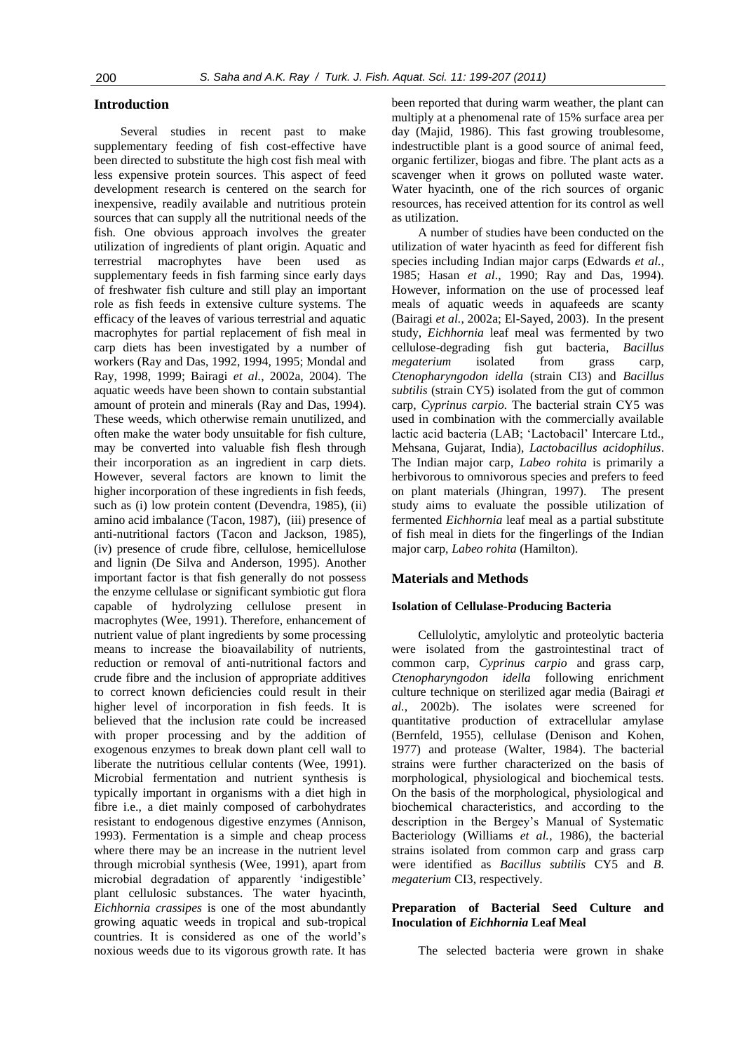# **Introduction**

Several studies in recent past to make supplementary feeding of fish cost-effective have been directed to substitute the high cost fish meal with less expensive protein sources. This aspect of feed development research is centered on the search for inexpensive, readily available and nutritious protein sources that can supply all the nutritional needs of the fish. One obvious approach involves the greater utilization of ingredients of plant origin. Aquatic and terrestrial macrophytes have been used as supplementary feeds in fish farming since early days of freshwater fish culture and still play an important role as fish feeds in extensive culture systems. The efficacy of the leaves of various terrestrial and aquatic macrophytes for partial replacement of fish meal in carp diets has been investigated by a number of workers (Ray and Das, 1992, 1994, 1995; Mondal and Ray, 1998, 1999; Bairagi *et al.*, 2002a, 2004). The aquatic weeds have been shown to contain substantial amount of protein and minerals (Ray and Das, 1994). These weeds, which otherwise remain unutilized, and often make the water body unsuitable for fish culture, may be converted into valuable fish flesh through their incorporation as an ingredient in carp diets. However, several factors are known to limit the higher incorporation of these ingredients in fish feeds, such as (i) low protein content (Devendra, 1985), (ii) amino acid imbalance (Tacon, 1987), (iii) presence of anti-nutritional factors (Tacon and Jackson, 1985), (iv) presence of crude fibre, cellulose, hemicellulose and lignin (De Silva and Anderson, 1995). Another important factor is that fish generally do not possess the enzyme cellulase or significant symbiotic gut flora capable of hydrolyzing cellulose present in macrophytes (Wee, 1991). Therefore, enhancement of nutrient value of plant ingredients by some processing means to increase the bioavailability of nutrients, reduction or removal of anti-nutritional factors and crude fibre and the inclusion of appropriate additives to correct known deficiencies could result in their higher level of incorporation in fish feeds. It is believed that the inclusion rate could be increased with proper processing and by the addition of exogenous enzymes to break down plant cell wall to liberate the nutritious cellular contents (Wee, 1991). Microbial fermentation and nutrient synthesis is typically important in organisms with a diet high in fibre i.e., a diet mainly composed of carbohydrates resistant to endogenous digestive enzymes (Annison, 1993). Fermentation is a simple and cheap process where there may be an increase in the nutrient level through microbial synthesis (Wee, 1991), apart from microbial degradation of apparently 'indigestible' plant cellulosic substances. The water hyacinth, *Eichhornia crassipes* is one of the most abundantly growing aquatic weeds in tropical and sub-tropical countries. It is considered as one of the world's noxious weeds due to its vigorous growth rate. It has

been reported that during warm weather, the plant can multiply at a phenomenal rate of 15% surface area per day (Majid, 1986). This fast growing troublesome, indestructible plant is a good source of animal feed, organic fertilizer, biogas and fibre. The plant acts as a scavenger when it grows on polluted waste water. Water hyacinth, one of the rich sources of organic resources, has received attention for its control as well as utilization.

A number of studies have been conducted on the utilization of water hyacinth as feed for different fish species including Indian major carps (Edwards *et al.*, 1985; Hasan *et al*., 1990; Ray and Das, 1994). However, information on the use of processed leaf meals of aquatic weeds in aquafeeds are scanty (Bairagi *et al.*, 2002a; El-Sayed, 2003). In the present study, *Eichhornia* leaf meal was fermented by two cellulose-degrading fish gut bacteria, *Bacillus megaterium* isolated from grass carp, *Ctenopharyngodon idella* (strain CI3) and *Bacillus subtilis* (strain CY5) isolated from the gut of common carp, *Cyprinus carpio.* The bacterial strain CY5 was used in combination with the commercially available lactic acid bacteria (LAB; 'Lactobacil' Intercare Ltd., Mehsana, Gujarat, India), *Lactobacillus acidophilus*. The Indian major carp, *Labeo rohita* is primarily a herbivorous to omnivorous species and prefers to feed on plant materials (Jhingran, 1997). The present study aims to evaluate the possible utilization of fermented *Eichhornia* leaf meal as a partial substitute of fish meal in diets for the fingerlings of the Indian major carp, *Labeo rohita* (Hamilton).

#### **Materials and Methods**

# **Isolation of Cellulase-Producing Bacteria**

Cellulolytic, amylolytic and proteolytic bacteria were isolated from the gastrointestinal tract of common carp, *Cyprinus carpio* and grass carp, *Ctenopharyngodon idella* following enrichment culture technique on sterilized agar media (Bairagi *et al.*, 2002b). The isolates were screened for quantitative production of extracellular amylase (Bernfeld, 1955), cellulase (Denison and Kohen, 1977) and protease (Walter, 1984). The bacterial strains were further characterized on the basis of morphological, physiological and biochemical tests. On the basis of the morphological, physiological and biochemical characteristics, and according to the description in the Bergey's Manual of Systematic Bacteriology (Williams *et al.*, 1986), the bacterial strains isolated from common carp and grass carp were identified as *Bacillus subtilis* CY5 and *B. megaterium* CI3, respectively.

# **Preparation of Bacterial Seed Culture and Inoculation of** *Eichhornia* **Leaf Meal**

The selected bacteria were grown in shake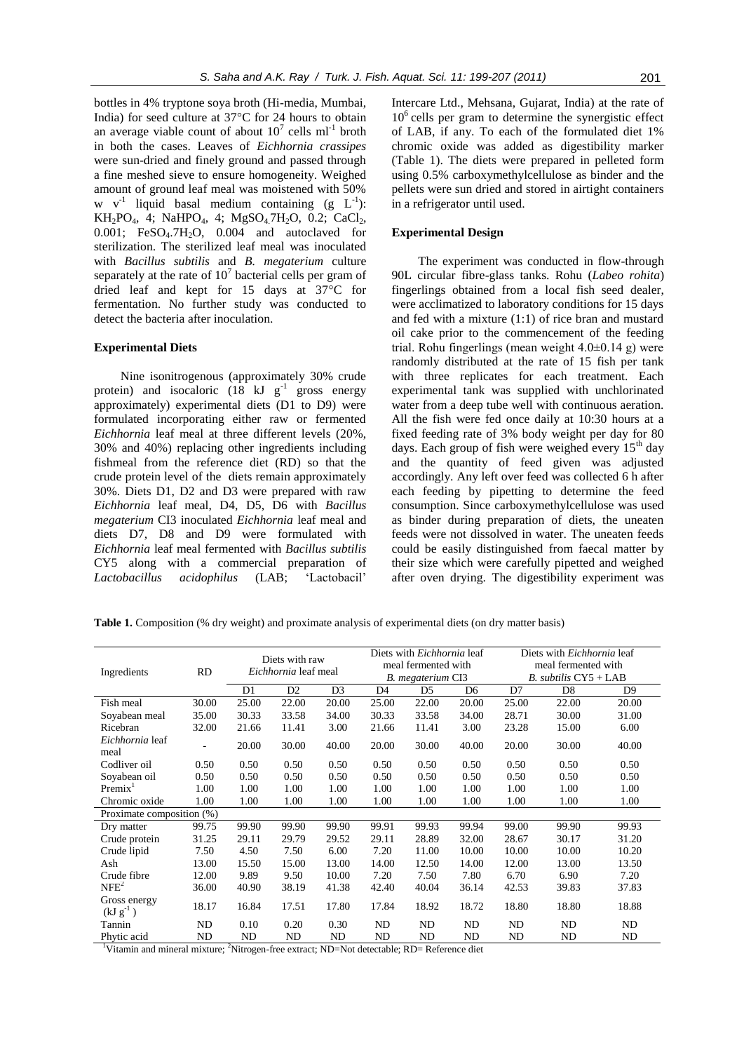bottles in 4% tryptone soya broth (Hi-media, Mumbai, India) for seed culture at 37°C for 24 hours to obtain an average viable count of about  $10^7$  cells ml<sup>-1</sup> broth in both the cases. Leaves of *Eichhornia crassipes* were sun-dried and finely ground and passed through a fine meshed sieve to ensure homogeneity. Weighed amount of ground leaf meal was moistened with 50% w  $v^{-1}$  liquid basal medium containing (g  $L^{-1}$ ):  $KH_2PO_4$ , 4; NaHPO<sub>4</sub>, 4; MgSO<sub>4</sub>.7H<sub>2</sub>O, 0.2; CaCl<sub>2</sub>,  $0.001$ ; FeSO<sub>4</sub>.7H<sub>2</sub>O,  $0.004$  and autoclaved for sterilization. The sterilized leaf meal was inoculated with *Bacillus subtilis* and *B. megaterium* culture separately at the rate of  $10<sup>7</sup>$  bacterial cells per gram of dried leaf and kept for 15 days at 37°C for fermentation. No further study was conducted to detect the bacteria after inoculation.

# **Experimental Diets**

Nine isonitrogenous (approximately 30% crude protein) and isocaloric  $(18 \text{ kJ g}^{-1})$  gross energy approximately) experimental diets (D1 to D9) were formulated incorporating either raw or fermented *Eichhornia* leaf meal at three different levels (20%, 30% and 40%) replacing other ingredients including fishmeal from the reference diet (RD) so that the crude protein level of the diets remain approximately 30%. Diets D1, D2 and D3 were prepared with raw *Eichhornia* leaf meal, D4, D5, D6 with *Bacillus megaterium* CI3 inoculated *Eichhornia* leaf meal and diets D7, D8 and D9 were formulated with *Eichhornia* leaf meal fermented with *Bacillus subtilis* CY5 along with a commercial preparation of *Lactobacillus acidophilus* (LAB; 'Lactobacil'

Intercare Ltd., Mehsana, Gujarat, India) at the rate of  $10<sup>6</sup>$  cells per gram to determine the synergistic effect of LAB, if any. To each of the formulated diet 1% chromic oxide was added as digestibility marker (Table 1). The diets were prepared in pelleted form using 0.5% carboxymethylcellulose as binder and the pellets were sun dried and stored in airtight containers in a refrigerator until used.

#### **Experimental Design**

The experiment was conducted in flow-through 90L circular fibre-glass tanks. Rohu (*Labeo rohita*) fingerlings obtained from a local fish seed dealer, were acclimatized to laboratory conditions for 15 days and fed with a mixture (1:1) of rice bran and mustard oil cake prior to the commencement of the feeding trial. Rohu fingerlings (mean weight  $4.0\pm0.14$  g) were randomly distributed at the rate of 15 fish per tank with three replicates for each treatment. Each experimental tank was supplied with unchlorinated water from a deep tube well with continuous aeration. All the fish were fed once daily at 10:30 hours at a fixed feeding rate of 3% body weight per day for 80 days. Each group of fish were weighed every  $15<sup>th</sup>$  day and the quantity of feed given was adjusted accordingly. Any left over feed was collected 6 h after each feeding by pipetting to determine the feed consumption. Since carboxymethylcellulose was used as binder during preparation of diets, the uneaten feeds were not dissolved in water. The uneaten feeds could be easily distinguished from faecal matter by their size which were carefully pipetted and weighed after oven drying. The digestibility experiment was

**Table 1.** Composition (% dry weight) and proximate analysis of experimental diets (on dry matter basis)

| Ingredients                   | <b>RD</b> | Diets with raw<br>Eichhornia leaf meal |                |                |                | Diets with <i>Eichhornia</i> leaf<br>meal fermented with<br>B. megaterium CI3 |                | Diets with <i>Eichhornia</i> leaf<br>meal fermented with<br>$B.$ subtilis $CY5 + LAB$ |                |                |
|-------------------------------|-----------|----------------------------------------|----------------|----------------|----------------|-------------------------------------------------------------------------------|----------------|---------------------------------------------------------------------------------------|----------------|----------------|
|                               |           | D1                                     | D <sub>2</sub> | D <sub>3</sub> | D <sub>4</sub> | D <sub>5</sub>                                                                | D <sub>6</sub> | D7                                                                                    | D <sub>8</sub> | D <sub>9</sub> |
| Fish meal                     | 30.00     | 25.00                                  | 22.00          | 20.00          | 25.00          | 22.00                                                                         | 20.00          | 25.00                                                                                 | 22.00          | 20.00          |
| Soyabean meal                 | 35.00     | 30.33                                  | 33.58          | 34.00          | 30.33          | 33.58                                                                         | 34.00          | 28.71                                                                                 | 30.00          | 31.00          |
| Ricebran                      | 32.00     | 21.66                                  | 11.41          | 3.00           | 21.66          | 11.41                                                                         | 3.00           | 23.28                                                                                 | 15.00          | 6.00           |
| Eichhornia leaf<br>meal       | ۰         | 20.00                                  | 30.00          | 40.00          | 20.00          | 30.00                                                                         | 40.00          | 20.00                                                                                 | 30.00          | 40.00          |
| Codliver oil                  | 0.50      | 0.50                                   | 0.50           | 0.50           | 0.50           | 0.50                                                                          | 0.50           | 0.50                                                                                  | 0.50           | 0.50           |
| Soyabean oil                  | 0.50      | 0.50                                   | 0.50           | 0.50           | 0.50           | 0.50                                                                          | 0.50           | 0.50                                                                                  | 0.50           | 0.50           |
| Premix <sup>T</sup>           | 1.00      | 1.00                                   | 1.00           | 1.00           | 1.00           | 1.00                                                                          | 1.00           | 1.00                                                                                  | 1.00           | 1.00           |
| Chromic oxide                 | 1.00      | 1.00                                   | 1.00           | 1.00           | 1.00           | 1.00                                                                          | 1.00           | 1.00                                                                                  | 1.00           | 1.00           |
| Proximate composition (%)     |           |                                        |                |                |                |                                                                               |                |                                                                                       |                |                |
| Dry matter                    | 99.75     | 99.90                                  | 99.90          | 99.90          | 99.91          | 99.93                                                                         | 99.94          | 99.00                                                                                 | 99.90          | 99.93          |
| Crude protein                 | 31.25     | 29.11                                  | 29.79          | 29.52          | 29.11          | 28.89                                                                         | 32.00          | 28.67                                                                                 | 30.17          | 31.20          |
| Crude lipid                   | 7.50      | 4.50                                   | 7.50           | 6.00           | 7.20           | 11.00                                                                         | 10.00          | 10.00                                                                                 | 10.00          | 10.20          |
| Ash                           | 13.00     | 15.50                                  | 15.00          | 13.00          | 14.00          | 12.50                                                                         | 14.00          | 12.00                                                                                 | 13.00          | 13.50          |
| Crude fibre                   | 12.00     | 9.89                                   | 9.50           | 10.00          | 7.20           | 7.50                                                                          | 7.80           | 6.70                                                                                  | 6.90           | 7.20           |
| NFE <sup>2</sup>              | 36.00     | 40.90                                  | 38.19          | 41.38          | 42.40          | 40.04                                                                         | 36.14          | 42.53                                                                                 | 39.83          | 37.83          |
| Gross energy<br>$(kJ g^{-1})$ | 18.17     | 16.84                                  | 17.51          | 17.80          | 17.84          | 18.92                                                                         | 18.72          | 18.80                                                                                 | 18.80          | 18.88          |
| Tannin                        | ND        | 0.10                                   | 0.20           | 0.30           | ND             | ND                                                                            | ND             | ND                                                                                    | ND             | ND             |
| Phytic acid                   | ND        | ND                                     | ND             | ND             | ND             | ND                                                                            | ND             | ND                                                                                    | ND             | ND             |

Vitamin and mineral mixture; <sup>2</sup>Nitrogen-free extract; ND=Not detectable; RD= Reference diet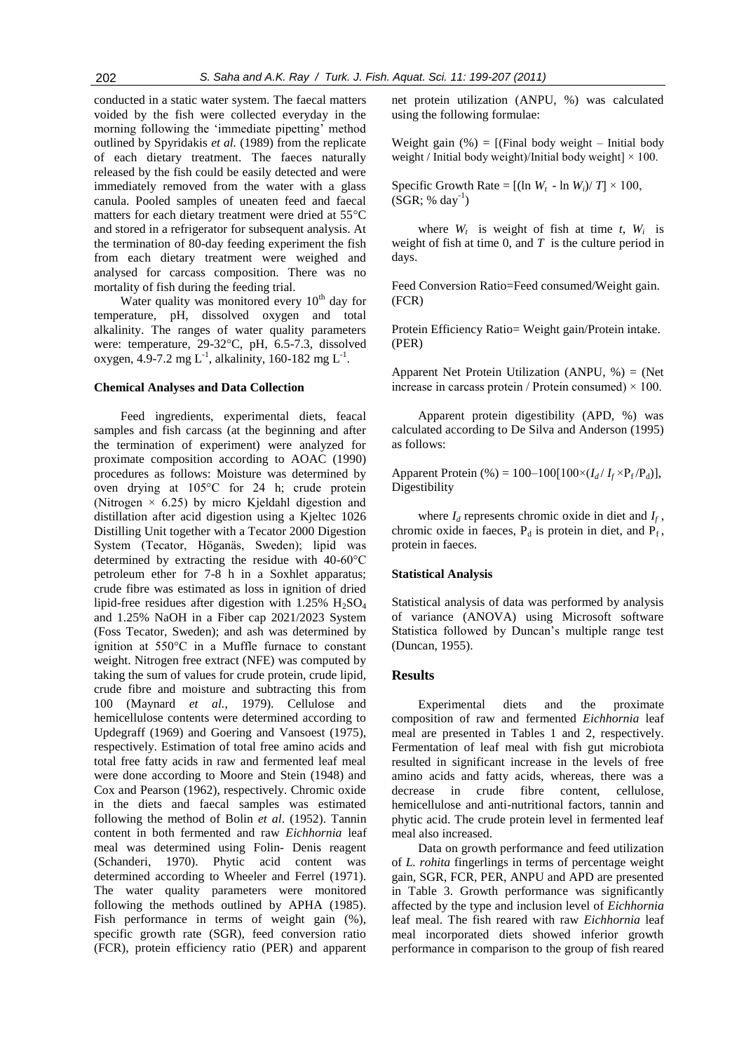conducted in a static water system. The faecal matters voided by the fish were collected everyday in the morning following the 'immediate pipetting' method outlined by Spyridakis *et al.* (1989) from the replicate of each dietary treatment. The faeces naturally released by the fish could be easily detected and were immediately removed from the water with a glass canula. Pooled samples of uneaten feed and faecal matters for each dietary treatment were dried at 55°C and stored in a refrigerator for subsequent analysis. At the termination of 80-day feeding experiment the fish from each dietary treatment were weighed and analysed for carcass composition. There was no mortality of fish during the feeding trial.

Water quality was monitored every 10<sup>th</sup> day for temperature, pH, dissolved oxygen and total alkalinity. The ranges of water quality parameters were: temperature, 29-32°C, pH, 6.5-7.3, dissolved oxygen, 4.9-7.2 mg  $L^{-1}$ , alkalinity, 160-182 mg  $L^{-1}$ .

#### **Chemical Analyses and Data Collection**

Feed ingredients, experimental diets, feacal samples and fish carcass (at the beginning and after the termination of experiment) were analyzed for proximate composition according to AOAC (1990) procedures as follows: Moisture was determined by oven drying at 105°C for 24 h; crude protein (Nitrogen  $\times$  6.25) by micro Kjeldahl digestion and distillation after acid digestion using a Kjeltec 1026 Distilling Unit together with a Tecator 2000 Digestion System (Tecator, Höganäs, Sweden); lipid was determined by extracting the residue with 40-60°C petroleum ether for 7-8 h in a Soxhlet apparatus; crude fibre was estimated as loss in ignition of dried lipid-free residues after digestion with  $1.25\%$  H<sub>2</sub>SO<sub>4</sub> and 1.25% NaOH in a Fiber cap 2021/2023 System (Foss Tecator, Sweden); and ash was determined by ignition at 550°C in a Muffle furnace to constant weight. Nitrogen free extract (NFE) was computed by taking the sum of values for crude protein, crude lipid, crude fibre and moisture and subtracting this from 100 (Maynard *et al.*, 1979). Cellulose and hemicellulose contents were determined according to Updegraff (1969) and Goering and Vansoest (1975), respectively. Estimation of total free amino acids and total free fatty acids in raw and fermented leaf meal were done according to Moore and Stein (1948) and Cox and Pearson (1962), respectively. Chromic oxide in the diets and faecal samples was estimated following the method of Bolin *et al*. (1952). Tannin content in both fermented and raw *Eichhornia* leaf meal was determined using Folin- Denis reagent (Schanderi, 1970). Phytic acid content was determined according to Wheeler and Ferrel (1971). The water quality parameters were monitored following the methods outlined by APHA (1985). Fish performance in terms of weight gain  $(\%)$ , specific growth rate (SGR), feed conversion ratio (FCR), protein efficiency ratio (PER) and apparent net protein utilization (ANPU, %) was calculated using the following formulae:

Weight gain  $(\%) = [(\text{Final body weight} - \text{Initial body})]$ weight / Initial body weight)/Initial body weight $] \times 100$ .

Specific Growth Rate =  $[(\ln W_t - \ln W_i)/T] \times 100$ ,  $(SGR; % day<sup>-1</sup>)$ 

where  $W_t$  is weight of fish at time  $t$ ,  $W_i$  is weight of fish at time 0, and *T* is the culture period in days.

Feed Conversion Ratio=Feed consumed/Weight gain. (FCR)

Protein Efficiency Ratio= Weight gain/Protein intake. (PER)

Apparent Net Protein Utilization (ANPU, %) = (Net increase in carcass protein / Protein consumed)  $\times$  100.

Apparent protein digestibility (APD, %) was calculated according to De Silva and Anderson (1995) as follows:

Apparent Protein (%) =  $100-100[100 \times (I_d/I_f \times P_f/P_d)]$ , Digestibility

where  $I_d$  represents chromic oxide in diet and  $I_f$ , chromic oxide in faeces,  $P_d$  is protein in diet, and  $\overrightarrow{P}_f$ , protein in faeces.

#### **Statistical Analysis**

Statistical analysis of data was performed by analysis of variance (ANOVA) using Microsoft software Statistica followed by Duncan's multiple range test (Duncan, 1955).

# **Results**

Experimental diets and the proximate composition of raw and fermented *Eichhornia* leaf meal are presented in Tables 1 and 2, respectively. Fermentation of leaf meal with fish gut microbiota resulted in significant increase in the levels of free amino acids and fatty acids, whereas, there was a decrease in crude fibre content, cellulose, hemicellulose and anti-nutritional factors, tannin and phytic acid. The crude protein level in fermented leaf meal also increased.

Data on growth performance and feed utilization of *L. rohita* fingerlings in terms of percentage weight gain, SGR, FCR, PER, ANPU and APD are presented in Table 3. Growth performance was significantly affected by the type and inclusion level of *Eichhornia* leaf meal. The fish reared with raw *Eichhornia* leaf meal incorporated diets showed inferior growth performance in comparison to the group of fish reared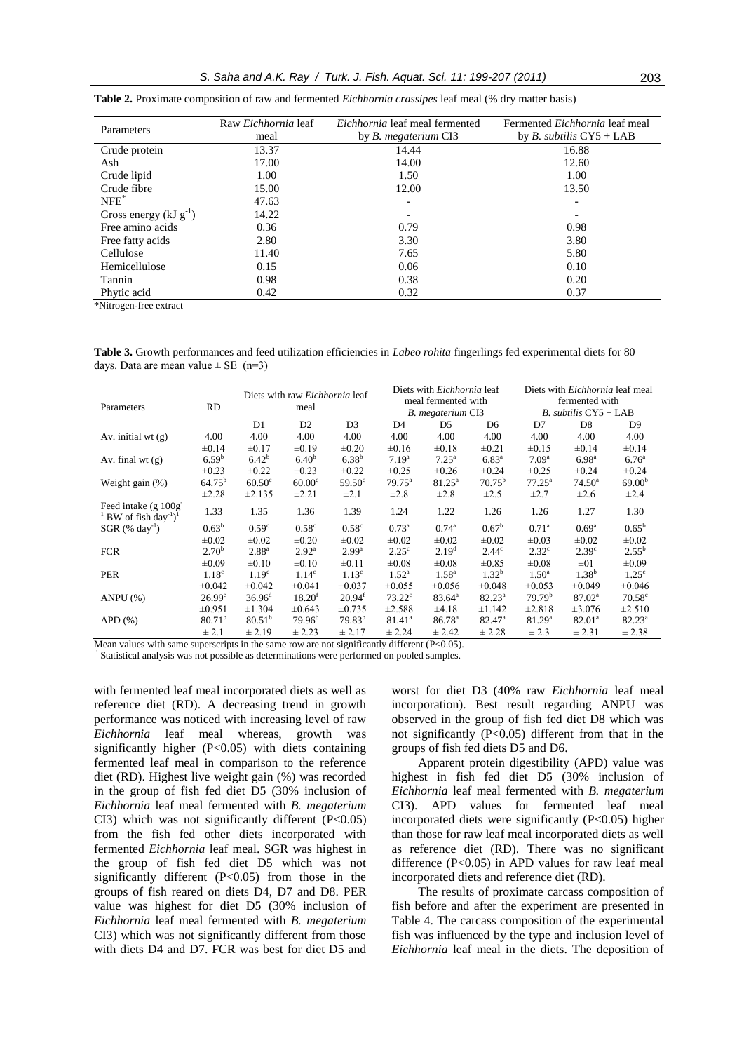| Parameters                   | Raw <i>Eichhornia</i> leaf<br>meal | <i>Eichhornia</i> leaf meal fermented<br>by <i>B. megaterium</i> CI3 | Fermented <i>Eichhornia</i> leaf meal<br>by <i>B. subtilis</i> $CY5 + LAB$ |  |  |  |
|------------------------------|------------------------------------|----------------------------------------------------------------------|----------------------------------------------------------------------------|--|--|--|
| Crude protein                | 13.37                              | 14.44                                                                | 16.88                                                                      |  |  |  |
| Ash                          | 17.00                              | 14.00                                                                | 12.60                                                                      |  |  |  |
| Crude lipid                  | 1.00                               | 1.50                                                                 | 1.00                                                                       |  |  |  |
| Crude fibre                  | 15.00                              | 12.00                                                                | 13.50                                                                      |  |  |  |
| $NFE^*$                      | 47.63                              |                                                                      |                                                                            |  |  |  |
| Gross energy ( $kJ g^{-1}$ ) | 14.22                              |                                                                      |                                                                            |  |  |  |
| Free amino acids             | 0.36                               | 0.79                                                                 | 0.98                                                                       |  |  |  |
| Free fatty acids             | 2.80                               | 3.30                                                                 | 3.80                                                                       |  |  |  |
| Cellulose                    | 11.40                              | 7.65                                                                 | 5.80                                                                       |  |  |  |
| Hemicellulose                | 0.15                               | 0.06                                                                 | 0.10                                                                       |  |  |  |
| Tannin                       | 0.98                               | 0.38                                                                 | 0.20                                                                       |  |  |  |
| Phytic acid                  | 0.42                               | 0.32                                                                 | 0.37                                                                       |  |  |  |

**Table 2.** Proximate composition of raw and fermented *Eichhornia crassipes* leaf meal (% dry matter basis)

\*Nitrogen-free extract

**Table 3.** Growth performances and feed utilization efficiencies in *Labeo rohita* fingerlings fed experimental diets for 80 days. Data are mean value  $\pm$  SE (n=3)

|                                                                            |                    |                    | Diets with raw <i>Eichhornia</i> leaf |                   | Diets with <i>Eichhornia</i> leaf |                     |                 | Diets with <i>Eichhornia</i> leaf meal |                   |                    |
|----------------------------------------------------------------------------|--------------------|--------------------|---------------------------------------|-------------------|-----------------------------------|---------------------|-----------------|----------------------------------------|-------------------|--------------------|
|                                                                            | <b>RD</b>          |                    | meal                                  |                   |                                   | meal fermented with |                 | fermented with                         |                   |                    |
| Parameters                                                                 |                    |                    |                                       |                   |                                   | B. megaterium CI3   |                 | $B.$ subtilis $CY5 + LAB$              |                   |                    |
|                                                                            |                    | D1                 | D <sub>2</sub>                        | D <sub>3</sub>    | D <sub>4</sub>                    | D <sub>5</sub>      | D <sub>6</sub>  | D7                                     | D <sub>8</sub>    | D <sub>9</sub>     |
| Av. initial wt $(g)$                                                       | 4.00               | 4.00               | 4.00                                  | 4.00              | 4.00                              | 4.00                | 4.00            | 4.00                                   | 4.00              | 4.00               |
|                                                                            | $\pm 0.14$         | $\pm 0.17$         | $\pm 0.19$                            | $\pm 0.20$        | $\pm 0.16$                        | $\pm 0.18$          | $\pm 0.21$      | $\pm 0.15$                             | $\pm 0.14$        | ±0.14              |
| Av. final wt $(g)$                                                         | 6.59 <sup>b</sup>  | 6.42 <sup>b</sup>  | 6.40 <sup>b</sup>                     | $6.38^{b}$        | 7.19 <sup>a</sup>                 | $7.25^{\rm a}$      | $6.83^{a}$      | 7.09 <sup>a</sup>                      | $6.98^{a}$        | 6.76 <sup>a</sup>  |
|                                                                            | $\pm 0.23$         | $\pm 0.22$         | $\pm 0.23$                            | $\pm 0.22$        | $\pm 0.25$                        | $\pm 0.26$          | $\pm 0.24$      | $\pm 0.25$                             | $\pm 0.24$        | $\pm 0.24$         |
| Weight gain $(\%)$                                                         | $64.75^{\rm b}$    | $60.50^\circ$      | 60.00 <sup>c</sup>                    | $59.50^{\circ}$   | $79.75^{\text{a}}$                | $81.25^{\rm a}$     | $70.75^{\rm b}$ | $77.25^{\rm a}$                        | $74.50^{\circ}$   | 69.00 <sup>b</sup> |
|                                                                            | $\pm 2.28$         | ±2.135             | ±2.21                                 | $\pm 2.1$         | $\pm 2.8$                         | $\pm 2.8$           | $\pm 2.5$       | $\pm 2.7$                              | $\pm 2.6$         | $\pm 2.4$          |
| Feed intake $(g 100g^{-1})$<br>BW of fish day <sup>-1</sup> ) <sup>1</sup> | 1.33               | 1.35               | 1.36                                  | 1.39              | 1.24                              | 1.22                | 1.26            | 1.26                                   | 1.27              | 1.30               |
| $SGR$ (% day <sup>-1</sup> )                                               | $0.63^{\rm b}$     | 0.59 <sup>c</sup>  | 0.58 <sup>c</sup>                     | 0.58 <sup>c</sup> | $0.73^{\rm a}$                    | $0.74^{\circ}$      | $0.67^{\rm b}$  | $0.71^{\rm a}$                         | $0.69^{\rm a}$    | $0.65^{\rm b}$     |
|                                                                            | $\pm 0.02$         | $\pm 0.02$         | $\pm 0.20$                            | $\pm 0.02$        | $\pm 0.02$                        | $\pm 0.02$          | $\pm 0.02$      | $\pm 0.03$                             | $\pm 0.02$        | $\pm 0.02$         |
| <b>FCR</b>                                                                 | 2.70 <sup>b</sup>  | $2.88^{a}$         | $2.92^{\rm a}$                        | 2.99 <sup>a</sup> | $2.25^{\circ}$                    | 2.19 <sup>d</sup>   | $2.44^{\circ}$  | $2.32^{\circ}$                         | 2.39 <sup>c</sup> | $2.55^{\rm b}$     |
|                                                                            | $\pm 0.09$         | $\pm 0.10$         | $\pm 0.10$                            | $\pm 0.11$        | $\pm 0.08$                        | $\pm 0.08$          | $\pm 0.85$      | $\pm 0.08$                             | $\pm 01$          | $\pm 0.09$         |
| <b>PER</b>                                                                 | 1.18 <sup>c</sup>  | 1.19 <sup>c</sup>  | 1.14 <sup>c</sup>                     | 1.13 <sup>c</sup> | $1.52^{\rm a}$                    | $1.58^{a}$          | $1.32^{b}$      | $1.50^{\circ}$                         | $1.38^{b}$        | $1.25^{\circ}$     |
|                                                                            | ±0.042             | $\pm 0.042$        | $\pm 0.041$                           | $\pm 0.037$       | $\pm 0.055$                       | $\pm 0.056$         | ±0.048          | $\pm 0.053$                            | ±0.049            | ±0.046             |
| ANPU $(%)$                                                                 | $26.99^e$          | $36.96^{\rm d}$    | $18.20^{t}$                           | $20.94^t$         | $73.22^{\circ}$                   | $83.64^{\circ}$     | $82.23^{\circ}$ | 79.79 <sup>b</sup>                     | $87.02^{\rm a}$   | $70.58^{\circ}$    |
|                                                                            | $\pm 0.951$        | ±1.304             | $\pm 0.643$                           | $\pm 0.735$       | ±2.588                            | $\pm 4.18$          | ±1.142          | $\pm 2.818$                            | $\pm 3.076$       | ±2.510             |
| $APD$ $(\%)$                                                               | 80.71 <sup>b</sup> | 80.51 <sup>b</sup> | 79.96 <sup>b</sup>                    | $79.83^{b}$       | $81.41^a$                         | $86.78^{a}$         | $82.47^{\circ}$ | 81.29 <sup>a</sup>                     | $82.01^a$         | $82.23^a$          |
|                                                                            | $\pm 2.1$          | ± 2.19             | ± 2.23                                | ± 2.17            | ± 2.24                            | ± 2.42              | $\pm 2.28$      | ± 2.3                                  | ± 2.31            | ± 2.38             |

Mean values with same superscripts in the same row are not significantly different (P<0.05).

<sup>1</sup> Statistical analysis was not possible as determinations were performed on pooled samples.

with fermented leaf meal incorporated diets as well as reference diet (RD). A decreasing trend in growth performance was noticed with increasing level of raw *Eichhornia* leaf meal whereas, growth was significantly higher (P<0.05) with diets containing fermented leaf meal in comparison to the reference diet (RD). Highest live weight gain (%) was recorded in the group of fish fed diet D5 (30% inclusion of *Eichhornia* leaf meal fermented with *B. megaterium* CI3) which was not significantly different  $(P<0.05)$ from the fish fed other diets incorporated with fermented *Eichhornia* leaf meal. SGR was highest in the group of fish fed diet D5 which was not significantly different (P<0.05) from those in the groups of fish reared on diets D4, D7 and D8. PER value was highest for diet D5 (30% inclusion of *Eichhornia* leaf meal fermented with *B. megaterium* CI3) which was not significantly different from those with diets D4 and D7. FCR was best for diet D5 and

worst for diet D3 (40% raw *Eichhornia* leaf meal incorporation). Best result regarding ANPU was observed in the group of fish fed diet D8 which was not significantly (P<0.05) different from that in the groups of fish fed diets D5 and D6.

Apparent protein digestibility (APD) value was highest in fish fed diet D5 (30% inclusion of *Eichhornia* leaf meal fermented with *B. megaterium* CI3). APD values for fermented leaf meal incorporated diets were significantly  $(P<0.05)$  higher than those for raw leaf meal incorporated diets as well as reference diet (RD). There was no significant difference  $(P<0.05)$  in APD values for raw leaf meal incorporated diets and reference diet (RD).

The results of proximate carcass composition of fish before and after the experiment are presented in Table 4. The carcass composition of the experimental fish was influenced by the type and inclusion level of *Eichhornia* leaf meal in the diets. The deposition of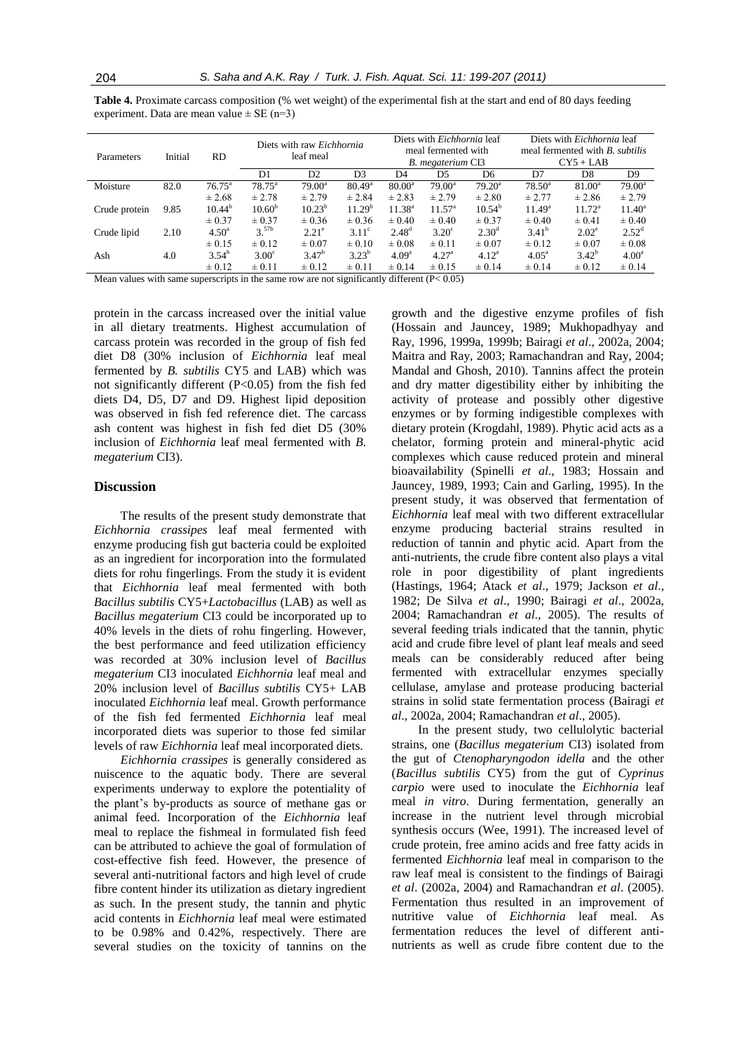| <b>Table 4.</b> Proximate carcass composition (% wet weight) of the experimental fish at the start and end of 80 days feeding |  |
|-------------------------------------------------------------------------------------------------------------------------------|--|
| experiment. Data are mean value $\pm$ SE (n=3)                                                                                |  |

|               |         |                 |                    | Diets with raw Eichhornia |                    | Diets with <i>Eichhornia</i> leaf<br>meal fermented with |                   |                   | Diets with <i>Eichhornia</i> leaf<br>meal fermented with <i>B. subtilis</i> |                 |                   |  |
|---------------|---------|-----------------|--------------------|---------------------------|--------------------|----------------------------------------------------------|-------------------|-------------------|-----------------------------------------------------------------------------|-----------------|-------------------|--|
| Parameters    | Initial | <b>RD</b>       | leaf meal          |                           |                    |                                                          | B. megaterium CI3 |                   | $CY5 + LAB$                                                                 |                 |                   |  |
|               |         |                 | D1                 | D <sub>2</sub>            | D <sub>3</sub>     | D4                                                       | D5                | D <sub>6</sub>    | D7                                                                          | D <sub>8</sub>  | D <sub>9</sub>    |  |
| Moisture      | 82.0    | $76.75^{\circ}$ | $78.75^{\circ}$    | $79.00^{\rm a}$           | $80.49^{\circ}$    | $80.00^a$                                                | $79.00^a$         | $79.20^a$         | $78.50^{\circ}$                                                             | $81.00^{\rm a}$ | $79.00^a$         |  |
|               |         | $\pm 2.68$      | $\pm 2.78$         | ± 2.79                    | ± 2.84             | $\pm 2.83$                                               | $\pm 2.79$        | $\pm 2.80$        | ± 2.77                                                                      | ± 2.86          | ± 2.79            |  |
| Crude protein | 9.85    | $10.44^{b}$     | 10.60 <sup>b</sup> | $10.23^{b}$               | 11.29 <sup>b</sup> | $11.38^{a}$                                              | $11.57^{\rm a}$   | $10.54^b$         | $11.49^{\rm a}$                                                             | $11.72^{\rm a}$ | $11.40^a$         |  |
|               |         | $\pm 0.37$      | $\pm 0.37$         | $\pm 0.36$                | $\pm 0.36$         | $\pm 0.40$                                               | $\pm 0.40$        | $\pm 0.37$        | $\pm 0.40$                                                                  | $\pm 0.41$      | $\pm 0.40$        |  |
| Crude lipid   | 2.10    | $4.50^{\rm a}$  | $3^{57b}$          | $2.21^{\circ}$            | $3.11^{\circ}$     | $2.48^{d}$                                               | $3.20^\circ$      | $2.30^{\rm d}$    | $3.41^{\rm b}$                                                              | $2.02^{\circ}$  | $2.52^{\rm d}$    |  |
|               |         | $\pm 0.15$      | $\pm 0.12$         | $\pm 0.07$                | $\pm 0.10$         | $\pm 0.08$                                               | $\pm 0.11$        | $\pm 0.07$        | $\pm 0.12$                                                                  | $\pm 0.07$      | $\pm 0.08$        |  |
| Ash           | 4.0     | $3.54^b$        | $3.00^{\circ}$     | 3.47 <sup>b</sup>         | $3.23^{b}$         | 4.09 <sup>a</sup>                                        | 4.27 <sup>a</sup> | 4.12 <sup>a</sup> | $4.05^{\circ}$                                                              | $3.42^{b}$      | 4.00 <sup>a</sup> |  |
|               |         | $\pm 0.12$      | $\pm 0.11$         | $\pm 0.12$                | $\pm 0.11$         | $\pm 0.14$                                               | $\pm 0.15$        | $\pm 0.14$        | $\pm 0.14$                                                                  | $\pm 0.12$      | $\pm 0.14$        |  |

Mean values with same superscripts in the same row are not significantly different (P< 0.05)

protein in the carcass increased over the initial value in all dietary treatments. Highest accumulation of carcass protein was recorded in the group of fish fed diet D8 (30% inclusion of *Eichhornia* leaf meal fermented by *B. subtilis* CY5 and LAB) which was not significantly different  $(P<0.05)$  from the fish fed diets D4, D5, D7 and D9. Highest lipid deposition was observed in fish fed reference diet. The carcass ash content was highest in fish fed diet D5 (30% inclusion of *Eichhornia* leaf meal fermented with *B. megaterium* CI3).

#### **Discussion**

The results of the present study demonstrate that *Eichhornia crassipes* leaf meal fermented with enzyme producing fish gut bacteria could be exploited as an ingredient for incorporation into the formulated diets for rohu fingerlings. From the study it is evident that *Eichhornia* leaf meal fermented with both *Bacillus subtilis* CY5+*Lactobacillus* (LAB) as well as *Bacillus megaterium* CI3 could be incorporated up to 40% levels in the diets of rohu fingerling. However, the best performance and feed utilization efficiency was recorded at 30% inclusion level of *Bacillus megaterium* CI3 inoculated *Eichhornia* leaf meal and 20% inclusion level of *Bacillus subtilis* CY5+ LAB inoculated *Eichhornia* leaf meal. Growth performance of the fish fed fermented *Eichhornia* leaf meal incorporated diets was superior to those fed similar levels of raw *Eichhornia* leaf meal incorporated diets.

*Eichhornia crassipes* is generally considered as nuiscence to the aquatic body. There are several experiments underway to explore the potentiality of the plant's by-products as source of methane gas or animal feed. Incorporation of the *Eichhornia* leaf meal to replace the fishmeal in formulated fish feed can be attributed to achieve the goal of formulation of cost-effective fish feed. However, the presence of several anti-nutritional factors and high level of crude fibre content hinder its utilization as dietary ingredient as such. In the present study, the tannin and phytic acid contents in *Eichhornia* leaf meal were estimated to be 0.98% and 0.42%, respectively. There are several studies on the toxicity of tannins on the

growth and the digestive enzyme profiles of fish (Hossain and Jauncey, 1989; Mukhopadhyay and Ray, 1996, 1999a, 1999b; Bairagi *et al*., 2002a, 2004; Maitra and Ray, 2003; Ramachandran and Ray, 2004; Mandal and Ghosh, 2010). Tannins affect the protein and dry matter digestibility either by inhibiting the activity of protease and possibly other digestive enzymes or by forming indigestible complexes with dietary protein (Krogdahl, 1989). Phytic acid acts as a chelator, forming protein and mineral-phytic acid complexes which cause reduced protein and mineral bioavailability (Spinelli *et al*., 1983; Hossain and Jauncey, 1989, 1993; Cain and Garling, 1995). In the present study, it was observed that fermentation of *Eichhornia* leaf meal with two different extracellular enzyme producing bacterial strains resulted in reduction of tannin and phytic acid. Apart from the anti-nutrients, the crude fibre content also plays a vital role in poor digestibility of plant ingredients (Hastings, 1964; Atack *et al*., 1979; Jackson *et al*., 1982; De Silva *et al*., 1990; Bairagi *et al*., 2002a, 2004; Ramachandran *et al*., 2005). The results of several feeding trials indicated that the tannin, phytic acid and crude fibre level of plant leaf meals and seed meals can be considerably reduced after being fermented with extracellular enzymes specially cellulase, amylase and protease producing bacterial strains in solid state fermentation process (Bairagi *et al*., 2002a, 2004; Ramachandran *et al*., 2005).

In the present study, two cellulolytic bacterial strains, one (*Bacillus megaterium* CI3) isolated from the gut of *Ctenopharyngodon idella* and the other (*Bacillus subtilis* CY5) from the gut of *Cyprinus carpio* were used to inoculate the *Eichhornia* leaf meal *in vitro*. During fermentation, generally an increase in the nutrient level through microbial synthesis occurs (Wee, 1991). The increased level of crude protein, free amino acids and free fatty acids in fermented *Eichhornia* leaf meal in comparison to the raw leaf meal is consistent to the findings of Bairagi *et al*. (2002a, 2004) and Ramachandran *et al*. (2005). Fermentation thus resulted in an improvement of nutritive value of *Eichhornia* leaf meal. As fermentation reduces the level of different antinutrients as well as crude fibre content due to the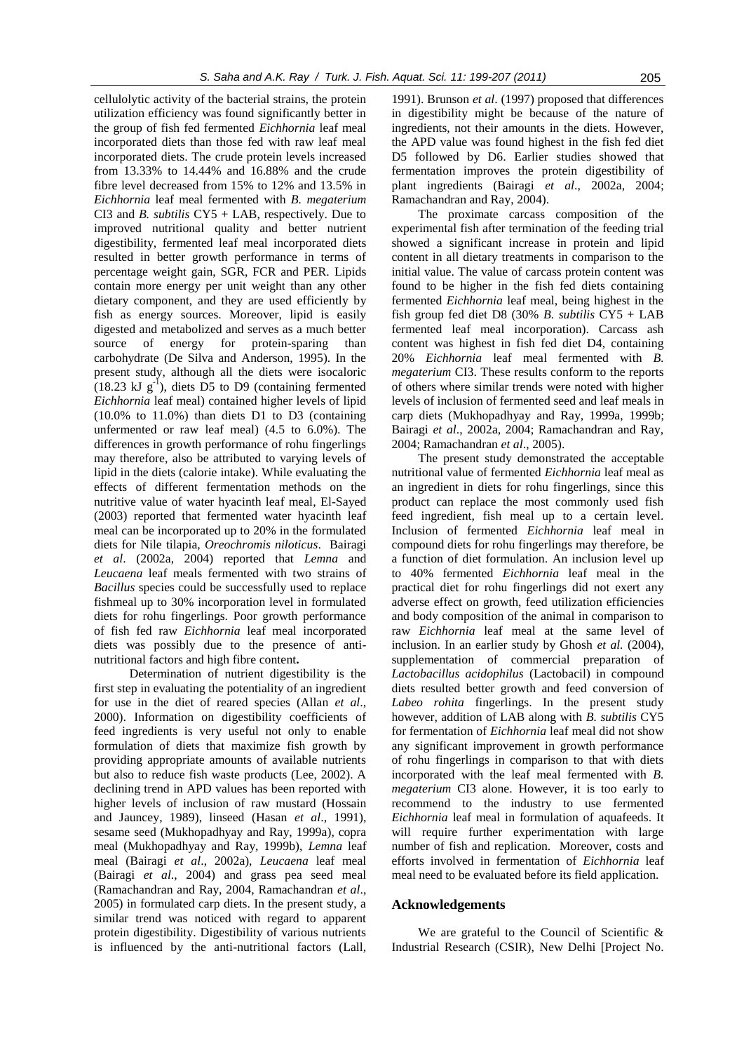cellulolytic activity of the bacterial strains, the protein utilization efficiency was found significantly better in the group of fish fed fermented *Eichhornia* leaf meal incorporated diets than those fed with raw leaf meal incorporated diets. The crude protein levels increased from 13.33% to 14.44% and 16.88% and the crude fibre level decreased from 15% to 12% and 13.5% in *Eichhornia* leaf meal fermented with *B. megaterium*  CI3 and *B. subtilis* CY5 + LAB, respectively. Due to improved nutritional quality and better nutrient digestibility, fermented leaf meal incorporated diets resulted in better growth performance in terms of percentage weight gain, SGR, FCR and PER. Lipids contain more energy per unit weight than any other dietary component, and they are used efficiently by fish as energy sources. Moreover, lipid is easily digested and metabolized and serves as a much better source of energy for protein-sparing than carbohydrate (De Silva and Anderson, 1995). In the present study, although all the diets were isocaloric  $(18.23 \text{ kJ g}^{-1})$ , diets D5 to D9 (containing fermented *Eichhornia* leaf meal) contained higher levels of lipid (10.0% to 11.0%) than diets D1 to D3 (containing unfermented or raw leaf meal) (4.5 to 6.0%). The differences in growth performance of rohu fingerlings may therefore, also be attributed to varying levels of lipid in the diets (calorie intake). While evaluating the effects of different fermentation methods on the nutritive value of water hyacinth leaf meal, El-Sayed (2003) reported that fermented water hyacinth leaf meal can be incorporated up to 20% in the formulated diets for Nile tilapia, *Oreochromis niloticus*. Bairagi *et al*. (2002a, 2004) reported that *Lemna* and *Leucaena* leaf meals fermented with two strains of *Bacillus* species could be successfully used to replace fishmeal up to 30% incorporation level in formulated diets for rohu fingerlings. Poor growth performance of fish fed raw *Eichhornia* leaf meal incorporated diets was possibly due to the presence of antinutritional factors and high fibre content**.** 

Determination of nutrient digestibility is the first step in evaluating the potentiality of an ingredient for use in the diet of reared species (Allan *et al*., 2000). Information on digestibility coefficients of feed ingredients is very useful not only to enable formulation of diets that maximize fish growth by providing appropriate amounts of available nutrients but also to reduce fish waste products (Lee, 2002). A declining trend in APD values has been reported with higher levels of inclusion of raw mustard (Hossain and Jauncey, 1989), linseed (Hasan *et al*., 1991), sesame seed (Mukhopadhyay and Ray, 1999a), copra meal (Mukhopadhyay and Ray, 1999b), *Lemna* leaf meal (Bairagi *et al*., 2002a), *Leucaena* leaf meal (Bairagi *et al*., 2004) and grass pea seed meal (Ramachandran and Ray, 2004, Ramachandran *et al*., 2005) in formulated carp diets. In the present study, a similar trend was noticed with regard to apparent protein digestibility. Digestibility of various nutrients is influenced by the anti-nutritional factors (Lall, 1991). Brunson *et al*. (1997) proposed that differences in digestibility might be because of the nature of ingredients, not their amounts in the diets. However, the APD value was found highest in the fish fed diet D5 followed by D6. Earlier studies showed that fermentation improves the protein digestibility of plant ingredients (Bairagi *et al*., 2002a, 2004; Ramachandran and Ray, 2004).

The proximate carcass composition of the experimental fish after termination of the feeding trial showed a significant increase in protein and lipid content in all dietary treatments in comparison to the initial value. The value of carcass protein content was found to be higher in the fish fed diets containing fermented *Eichhornia* leaf meal, being highest in the fish group fed diet D8 (30% *B. subtilis* CY5 + LAB fermented leaf meal incorporation). Carcass ash content was highest in fish fed diet D4, containing 20% *Eichhornia* leaf meal fermented with *B. megaterium* CI3. These results conform to the reports of others where similar trends were noted with higher levels of inclusion of fermented seed and leaf meals in carp diets (Mukhopadhyay and Ray, 1999a, 1999b; Bairagi *et al*., 2002a, 2004; Ramachandran and Ray, 2004; Ramachandran *et al*., 2005).

The present study demonstrated the acceptable nutritional value of fermented *Eichhornia* leaf meal as an ingredient in diets for rohu fingerlings, since this product can replace the most commonly used fish feed ingredient, fish meal up to a certain level. Inclusion of fermented *Eichhornia* leaf meal in compound diets for rohu fingerlings may therefore, be a function of diet formulation. An inclusion level up to 40% fermented *Eichhornia* leaf meal in the practical diet for rohu fingerlings did not exert any adverse effect on growth, feed utilization efficiencies and body composition of the animal in comparison to raw *Eichhornia* leaf meal at the same level of inclusion. In an earlier study by Ghosh *et al.* (2004), supplementation of commercial preparation of *Lactobacillus acidophilus* (Lactobacil) in compound diets resulted better growth and feed conversion of *Labeo rohita* fingerlings. In the present study however, addition of LAB along with *B. subtilis* CY5 for fermentation of *Eichhornia* leaf meal did not show any significant improvement in growth performance of rohu fingerlings in comparison to that with diets incorporated with the leaf meal fermented with *B. megaterium* CI3 alone. However, it is too early to recommend to the industry to use fermented *Eichhornia* leaf meal in formulation of aquafeeds. It will require further experimentation with large number of fish and replication. Moreover, costs and efforts involved in fermentation of *Eichhornia* leaf meal need to be evaluated before its field application.

# **Acknowledgements**

We are grateful to the Council of Scientific & Industrial Research (CSIR), New Delhi [Project No.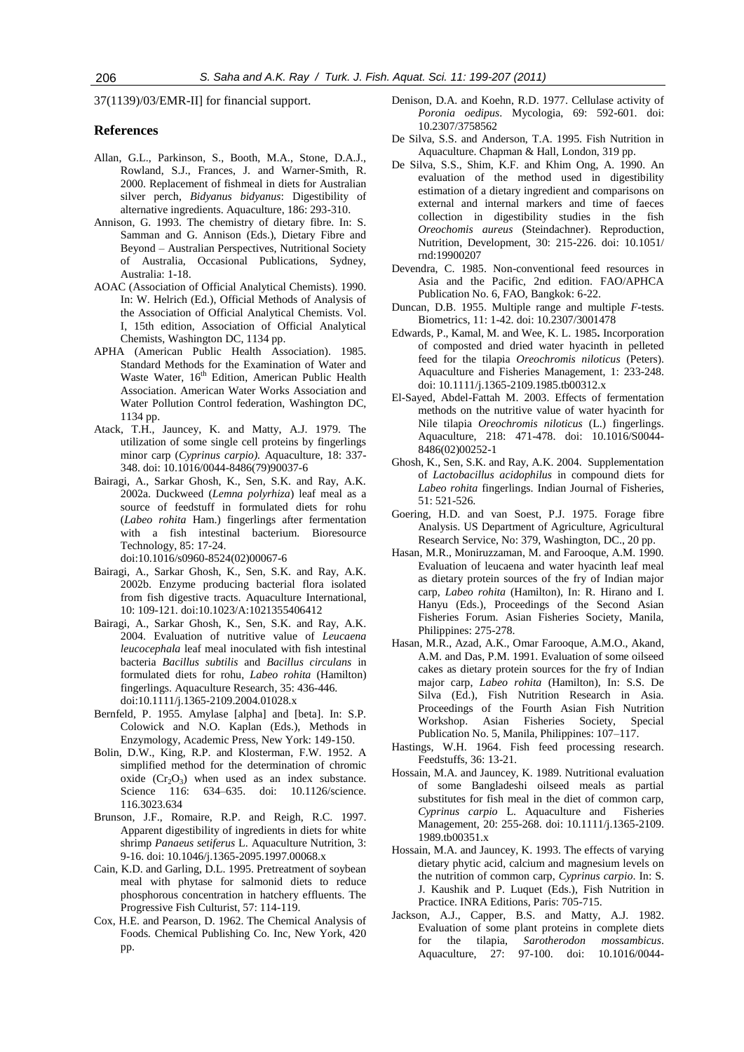37(1139)/03/EMR-II] for financial support.

# **References**

- Allan, G.L., Parkinson, S., Booth, M.A., Stone, D.A.J., Rowland, S.J., Frances, J. and Warner-Smith, R. 2000. Replacement of fishmeal in diets for Australian silver perch, *Bidyanus bidyanus*: Digestibility of alternative ingredients. Aquaculture, 186: 293-310.
- Annison, G. 1993. The chemistry of dietary fibre. In: S. Samman and G. Annison (Eds.), Dietary Fibre and Beyond – Australian Perspectives, Nutritional Society of Australia, Occasional Publications, Sydney, Australia: 1-18.
- AOAC (Association of Official Analytical Chemists). 1990. In: W. Helrich (Ed.), Official Methods of Analysis of the Association of Official Analytical Chemists. Vol. I, 15th edition, Association of Official Analytical Chemists, Washington DC, 1134 pp.
- APHA (American Public Health Association). 1985. Standard Methods for the Examination of Water and Waste Water, 16<sup>th</sup> Edition, American Public Health Association. American Water Works Association and Water Pollution Control federation, Washington DC, 1134 pp.
- Atack, T.H., Jauncey, K. and Matty, A.J. 1979. The utilization of some single cell proteins by fingerlings minor carp (*Cyprinus carpio).* Aquaculture, 18: 337- 348. doi: 10.1016/0044-8486(79)90037-6
- Bairagi, A., Sarkar Ghosh, K., Sen, S.K. and Ray, A.K. 2002a. Duckweed (*Lemna polyrhiza*) leaf meal as a source of feedstuff in formulated diets for rohu (*Labeo rohita* Ham.) fingerlings after fermentation with a fish intestinal bacterium. Bioresource Technology, 85: 17-24. doi:10.1016/s0960-8524(02)00067-6
- Bairagi, A., Sarkar Ghosh, K., Sen, S.K. and Ray, A.K. 2002b. Enzyme producing bacterial flora isolated from fish digestive tracts. Aquaculture International, 10: 109-121. doi:10.1023/A:1021355406412
- Bairagi, A., Sarkar Ghosh, K., Sen, S.K. and Ray, A.K. 2004. Evaluation of nutritive value of *Leucaena leucocephala* leaf meal inoculated with fish intestinal bacteria *Bacillus subtilis* and *Bacillus circulans* in formulated diets for rohu, *Labeo rohita* (Hamilton) fingerlings. Aquaculture Research, 35: 436-446. doi:10.1111/j.1365-2109.2004.01028.x
- Bernfeld, P. 1955. Amylase [alpha] and [beta]. In: S.P. Colowick and N.O. Kaplan (Eds.), Methods in Enzymology, Academic Press, New York: 149-150.
- Bolin, D.W., King, R.P. and Klosterman, F.W. 1952. A simplified method for the determination of chromic oxide  $(Cr_2O_3)$  when used as an index substance. Science 116: 634–635. doi: 10.1126/science. 116.3023.634
- Brunson, J.F., Romaire, R.P. and Reigh, R.C. 1997. Apparent digestibility of ingredients in diets for white shrimp *Panaeus setiferus* L. Aquaculture Nutrition, 3: 9-16. doi: 10.1046/j.1365-2095.1997.00068.x
- Cain, K.D. and Garling, D.L. 1995. Pretreatment of soybean meal with phytase for salmonid diets to reduce phosphorous concentration in hatchery effluents. The Progressive Fish Culturist, 57: 114-119.
- Cox, H.E. and Pearson, D. 1962. The Chemical Analysis of Foods*.* Chemical Publishing Co. Inc, New York, 420 pp.
- Denison, D.A. and Koehn, R.D. 1977. Cellulase activity of *Poronia oedipus*. Mycologia, 69: 592-601. doi: 10.2307/3758562
- De Silva, S.S. and Anderson, T.A. 1995. Fish Nutrition in Aquaculture. Chapman & Hall, London, 319 pp.
- De Silva, S.S., Shim, K.F. and Khim Ong, A. 1990. An evaluation of the method used in digestibility estimation of a dietary ingredient and comparisons on external and internal markers and time of faeces collection in digestibility studies in the fish *Oreochomis aureus* (Steindachner). Reproduction, Nutrition, Development, 30: 215-226. doi: 10.1051/ rnd:19900207
- Devendra, C. 1985. Non-conventional feed resources in Asia and the Pacific, 2nd edition. FAO/APHCA Publication No. 6, FAO, Bangkok: 6-22.
- Duncan, D.B. 1955. Multiple range and multiple *F*-tests. Biometrics, 11: 1-42. doi: 10.2307/3001478
- Edwards, P., Kamal, M. and Wee, K. L. 1985**.** Incorporation of composted and dried water hyacinth in pelleted feed for the tilapia *Oreochromis niloticus* (Peters). Aquaculture and Fisheries Management, 1: 233-248. doi: 10.1111/j.1365-2109.1985.tb00312.x
- El-Sayed, Abdel-Fattah M. 2003. Effects of fermentation methods on the nutritive value of water hyacinth for Nile tilapia *Oreochromis niloticus* (L.) fingerlings. [Aquaculture,](http://www.sciencedirect.com/science/journal/00448486) 218: 471-478. doi: 10.1016/S0044- 8486(02)00252-1
- Ghosh, K., Sen, S.K. and Ray, A.K. 2004. Supplementation of *Lactobacillus acidophilus* in compound diets for *Labeo rohita* fingerlings. Indian Journal of Fisheries, 51: 521-526.
- Goering, H.D. and van Soest, P.J. 1975. Forage fibre Analysis. US Department of Agriculture, Agricultural Research Service, No: 379, Washington, DC., 20 pp.
- Hasan, M.R., Moniruzzaman, M. and Farooque, A.M. 1990. Evaluation of leucaena and water hyacinth leaf meal as dietary protein sources of the fry of Indian major carp, *Labeo rohita* (Hamilton), In: R. Hirano and I. Hanyu (Eds.), Proceedings of the Second Asian Fisheries Forum. Asian Fisheries Society, Manila, Philippines: 275-278.
- Hasan, M.R., Azad, A.K., Omar Farooque, A.M.O., Akand, A.M. and Das, P.M. 1991. Evaluation of some oilseed cakes as dietary protein sources for the fry of Indian major carp, *Labeo rohita* (Hamilton), In: S.S. De Silva (Ed.), Fish Nutrition Research in Asia. Proceedings of the Fourth Asian Fish Nutrition Workshop. Asian Fisheries Society, Special Publication No. 5, Manila, Philippines: 107–117.
- Hastings, W.H. 1964. Fish feed processing research. Feedstuffs, 36: 13-21.
- Hossain, M.A. and Jauncey, K. 1989. Nutritional evaluation of some Bangladeshi oilseed meals as partial substitutes for fish meal in the diet of common carp, *Cyprinus carpio* L. Aquaculture and Fisheries Management, 20: 255-268. doi: 10.1111/j.1365-2109. 1989.tb00351.x
- Hossain, M.A. and Jauncey, K. 1993. The effects of varying dietary phytic acid, calcium and magnesium levels on the nutrition of common carp, *Cyprinus carpio*. In: S. J. Kaushik and P. Luquet (Eds.), Fish Nutrition in Practice. INRA Editions, Paris: 705-715.
- Jackson, A.J., Capper, B.S. and Matty, A.J. 1982. Evaluation of some plant proteins in complete diets for the tilapia, *Sarotherodon mossambicus*. Aquaculture, 27: 97-100. doi: 10.1016/0044-